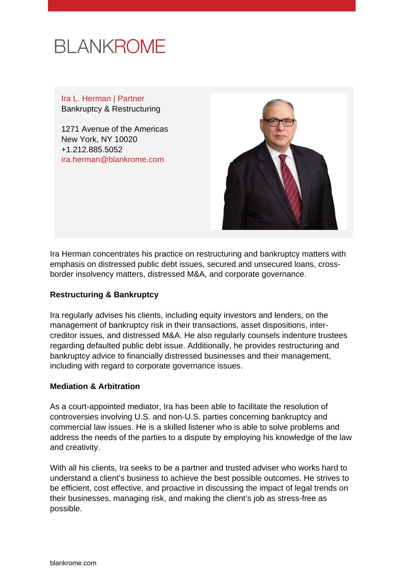

Ira L. Herman | Partner Bankruptcy & Restructuring

1271 Avenue of the Americas New York, NY 10020 +1.212.885.5052 [ira.herman@blankrome.com](mailto:ira.herman@blankrome.com)



Ira Herman concentrates his practice on restructuring and bankruptcy matters with emphasis on distressed public debt issues, secured and unsecured loans, crossborder insolvency matters, distressed M&A, and corporate governance.

#### **Restructuring & Bankruptcy**

Ira regularly advises his clients, including equity investors and lenders, on the management of bankruptcy risk in their transactions, asset dispositions, intercreditor issues, and distressed M&A. He also regularly counsels indenture trustees regarding defaulted public debt issue. Additionally, he provides restructuring and bankruptcy advice to financially distressed businesses and their management, including with regard to corporate governance issues.

#### **Mediation & Arbitration**

As a court-appointed mediator, Ira has been able to facilitate the resolution of controversies involving U.S. and non-U.S. parties concerning bankruptcy and commercial law issues. He is a skilled listener who is able to solve problems and address the needs of the parties to a dispute by employing his knowledge of the law and creativity.

With all his clients, Ira seeks to be a partner and trusted adviser who works hard to understand a client's business to achieve the best possible outcomes. He strives to be efficient, cost effective, and proactive in discussing the impact of legal trends on their businesses, managing risk, and making the client's job as stress-free as possible.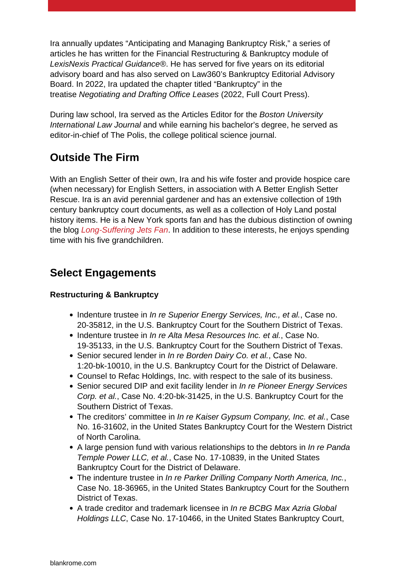Ira annually updates "Anticipating and Managing Bankruptcy Risk," a series of articles he has written for the Financial Restructuring & Bankruptcy module of LexisNexis Practical Guidance®. He has served for five years on its editorial advisory board and has also served on Law360's Bankruptcy Editorial Advisory Board. In 2022, Ira updated the chapter titled "Bankruptcy" in the treatise Negotiating and Drafting Office Leases (2022, Full Court Press).

During law school, Ira served as the Articles Editor for the Boston University International Law Journal and while earning his bachelor's degree, he served as editor-in-chief of The Polis, the college political science journal.

# **Outside The Firm**

With an English Setter of their own, Ira and his wife foster and provide hospice care (when necessary) for English Setters, in association with A Better English Setter Rescue. Ira is an avid perennial gardener and has an extensive collection of 19th century bankruptcy court documents, as well as a collection of Holy Land postal history items. He is a New York sports fan and has the dubious distinction of owning the blog [Long-Suffering Jets Fan](http://lsjf.blogspot.com/). In addition to these interests, he enjoys spending time with his five grandchildren.

# **Select Engagements**

#### **Restructuring & Bankruptcy**

- Indenture trustee in In re Superior Energy Services, Inc., et al., Case no. 20-35812, in the U.S. Bankruptcy Court for the Southern District of Texas.
- Indenture trustee in In re Alta Mesa Resources Inc. et al., Case No. 19-35133, in the U.S. Bankruptcy Court for the Southern District of Texas.
- Senior secured lender in In re Borden Dairy Co. et al., Case No. 1:20-bk-10010, in the U.S. Bankruptcy Court for the District of Delaware.
- Counsel to Refac Holdings, Inc. with respect to the sale of its business.
- Senior secured DIP and exit facility lender in In re Pioneer Energy Services Corp. et al., Case No. 4:20-bk-31425, in the U.S. Bankruptcy Court for the Southern District of Texas.
- The creditors' committee in In re Kaiser Gypsum Company, Inc. et al., Case No. 16-31602, in the United States Bankruptcy Court for the Western District of North Carolina.
- A large pension fund with various relationships to the debtors in In re Panda Temple Power LLC, et al., Case No. 17-10839, in the United States Bankruptcy Court for the District of Delaware.
- The indenture trustee in In re Parker Drilling Company North America, Inc., Case No. 18-36965, in the United States Bankruptcy Court for the Southern District of Texas.
- A trade creditor and trademark licensee in In re BCBG Max Azria Global Holdings LLC, Case No. 17-10466, in the United States Bankruptcy Court,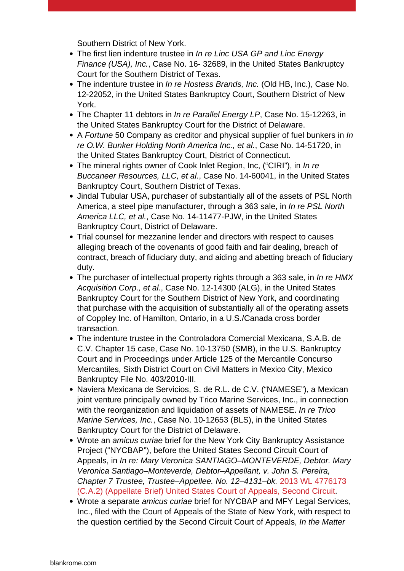Southern District of New York.

- The first lien indenture trustee in In re Linc USA GP and Linc Energy Finance (USA), Inc., Case No. 16- 32689, in the United States Bankruptcy Court for the Southern District of Texas.
- The indenture trustee in In re Hostess Brands, Inc. (Old HB, Inc.), Case No. 12-22052, in the United States Bankruptcy Court, Southern District of New York.
- The Chapter 11 debtors in In re Parallel Energy LP, Case No. 15-12263, in the United States Bankruptcy Court for the District of Delaware.
- A Fortune 50 Company as creditor and physical supplier of fuel bunkers in In re O.W. Bunker Holding North America Inc., et al., Case No. 14-51720, in the United States Bankruptcy Court, District of Connecticut.
- The mineral rights owner of Cook Inlet Region, Inc, ("CIRI"), in In re Buccaneer Resources, LLC, et al., Case No. 14-60041, in the United States Bankruptcy Court, Southern District of Texas.
- Jindal Tubular USA, purchaser of substantially all of the assets of PSL North America, a steel pipe manufacturer, through a 363 sale, in *In re PSL North* America LLC, et al., Case No. 14-11477-PJW, in the United States Bankruptcy Court, District of Delaware.
- Trial counsel for mezzanine lender and directors with respect to causes alleging breach of the covenants of good faith and fair dealing, breach of contract, breach of fiduciary duty, and aiding and abetting breach of fiduciary duty.
- The purchaser of intellectual property rights through a 363 sale, in In re HMX Acquisition Corp., et al., Case No. 12-14300 (ALG), in the United States Bankruptcy Court for the Southern District of New York, and coordinating that purchase with the acquisition of substantially all of the operating assets of Coppley Inc. of Hamilton, Ontario, in a U.S./Canada cross border transaction.
- The indenture trustee in the Controladora Comercial Mexicana, S.A.B. de C.V. Chapter 15 case, Case No. 10-13750 (SMB), in the U.S. Bankruptcy Court and in Proceedings under Article 125 of the Mercantile Concurso Mercantiles, Sixth District Court on Civil Matters in Mexico City, Mexico Bankruptcy File No. 403/2010-III.
- Naviera Mexicana de Servicios, S. de R.L. de C.V. ("NAMESE"), a Mexican joint venture principally owned by Trico Marine Services, Inc., in connection with the reorganization and liquidation of assets of NAMESE. In re Trico Marine Services, Inc., Case No. 10-12653 (BLS), in the United States Bankruptcy Court for the District of Delaware.
- Wrote an *amicus curiae* brief for the New York City Bankruptcy Assistance Project ("NYCBAP"), before the United States Second Circuit Court of Appeals, in In re: Mary Veronica SANTIAGO–MONTEVERDE, Debtor. Mary Veronica Santiago–Monteverde, Debtor–Appellant, v. John S. Pereira, Chapter 7 Trustee, Trustee–Appellee. No. 12–4131–bk. [2013 WL 4776173](https://www.blankrome.com/sites/default/files/2022-05/In%20re%20Mary%20Veronica%20SANTIAGO-MONTEVERDE%20Mary%20Veronica%20Santiago-Monteverde%20Debtor-Appellant%20v%20Joh.pdf) [\(C.A.2\) \(Appellate Brief\) United States Court of Appeals, Second Circuit.](https://www.blankrome.com/sites/default/files/2022-05/In%20re%20Mary%20Veronica%20SANTIAGO-MONTEVERDE%20Mary%20Veronica%20Santiago-Monteverde%20Debtor-Appellant%20v%20Joh.pdf)
- Wrote a separate *amicus curiae* brief for NYCBAP and MFY Legal Services, Inc., filed with the Court of Appeals of the State of New York, with respect to the question certified by the Second Circuit Court of Appeals, In the Matter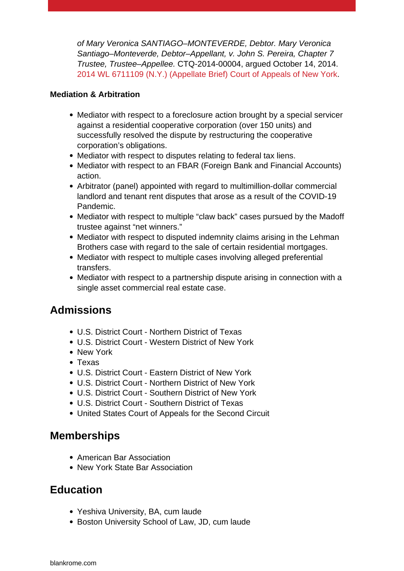of Mary Veronica SANTIAGO–MONTEVERDE, Debtor. Mary Veronica Santiago–Monteverde, Debtor–Appellant, v. John S. Pereira, Chapter 7 Trustee, Trustee–Appellee. CTQ-2014-00004, argued October 14, 2014. [2014 WL 6711109 \(N.Y.\) \(Appellate Brief\) Court of Appeals of New York](https://www.blankrome.com/sites/default/files/2022-05/In%20the%20Matter%20of%20Mary%20Veronica%20SANTIAGO-MONTEVERDE%20Debtor%20Mary%20Veronica%20SANTIAGO-MONTEVERDE%20Appe.pdf).

#### **Mediation & Arbitration**

- Mediator with respect to a foreclosure action brought by a special servicer against a residential cooperative corporation (over 150 units) and successfully resolved the dispute by restructuring the cooperative corporation's obligations.
- Mediator with respect to disputes relating to federal tax liens.
- Mediator with respect to an FBAR (Foreign Bank and Financial Accounts) action.
- Arbitrator (panel) appointed with regard to multimillion-dollar commercial landlord and tenant rent disputes that arose as a result of the COVID-19 Pandemic.
- Mediator with respect to multiple "claw back" cases pursued by the Madoff trustee against "net winners."
- Mediator with respect to disputed indemnity claims arising in the Lehman Brothers case with regard to the sale of certain residential mortgages.
- Mediator with respect to multiple cases involving alleged preferential transfers.
- Mediator with respect to a partnership dispute arising in connection with a single asset commercial real estate case.

## **Admissions**

- U.S. District Court Northern District of Texas
- U.S. District Court Western District of New York
- New York
- Texas
- U.S. District Court Eastern District of New York
- U.S. District Court Northern District of New York
- U.S. District Court Southern District of New York
- U.S. District Court Southern District of Texas
- United States Court of Appeals for the Second Circuit

#### **Memberships**

- American Bar Association
- New York State Bar Association

## **Education**

- Yeshiva University, BA, cum laude
- Boston University School of Law, JD, cum laude